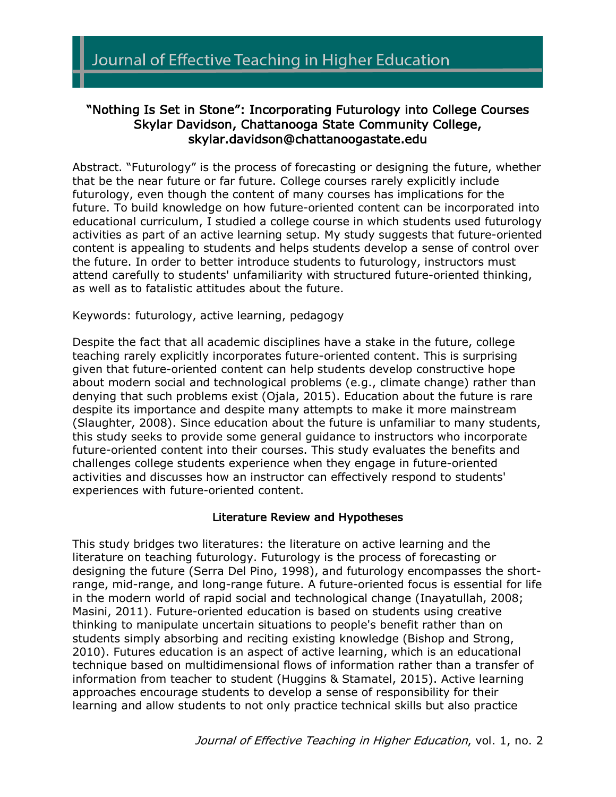# "Nothing Is Set in Stone": Incorporating Futurology into College Courses Skylar Davidson, Chattanooga State Community College, skylar.davidson@chattanoogastate.edu

Abstract. "Futurology" is the process of forecasting or designing the future, whether that be the near future or far future. College courses rarely explicitly include futurology, even though the content of many courses has implications for the future. To build knowledge on how future-oriented content can be incorporated into educational curriculum, I studied a college course in which students used futurology activities as part of an active learning setup. My study suggests that future-oriented content is appealing to students and helps students develop a sense of control over the future. In order to better introduce students to futurology, instructors must attend carefully to students' unfamiliarity with structured future-oriented thinking, as well as to fatalistic attitudes about the future.

Keywords: futurology, active learning, pedagogy

Despite the fact that all academic disciplines have a stake in the future, college teaching rarely explicitly incorporates future-oriented content. This is surprising given that future-oriented content can help students develop constructive hope about modern social and technological problems (e.g., climate change) rather than denying that such problems exist (Ojala, 2015). Education about the future is rare despite its importance and despite many attempts to make it more mainstream (Slaughter, 2008). Since education about the future is unfamiliar to many students, this study seeks to provide some general guidance to instructors who incorporate future-oriented content into their courses. This study evaluates the benefits and challenges college students experience when they engage in future-oriented activities and discusses how an instructor can effectively respond to students' experiences with future-oriented content.

### Literature Review and Hypotheses

This study bridges two literatures: the literature on active learning and the literature on teaching futurology. Futurology is the process of forecasting or designing the future (Serra Del Pino, 1998), and futurology encompasses the shortrange, mid-range, and long-range future. A future-oriented focus is essential for life in the modern world of rapid social and technological change (Inayatullah, 2008; Masini, 2011). Future-oriented education is based on students using creative thinking to manipulate uncertain situations to people's benefit rather than on students simply absorbing and reciting existing knowledge (Bishop and Strong, 2010). Futures education is an aspect of active learning, which is an educational technique based on multidimensional flows of information rather than a transfer of information from teacher to student (Huggins & Stamatel, 2015). Active learning approaches encourage students to develop a sense of responsibility for their learning and allow students to not only practice technical skills but also practice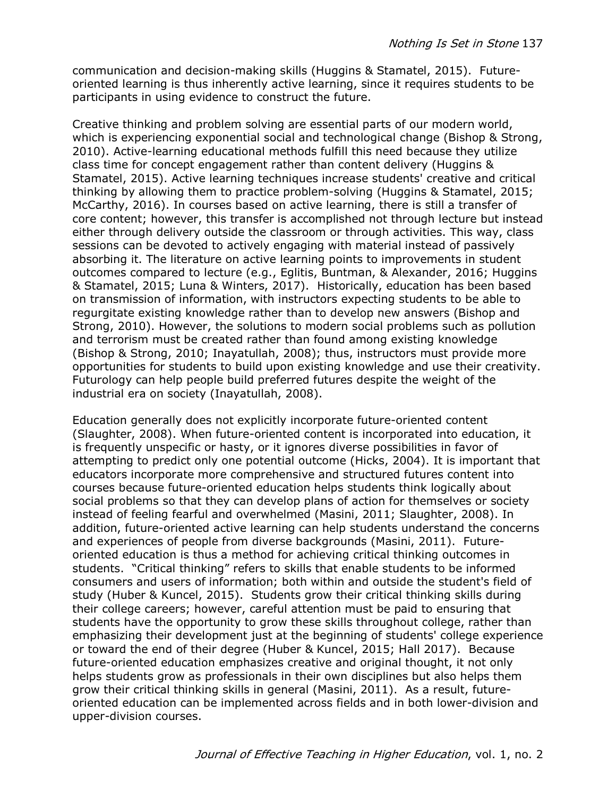communication and decision-making skills (Huggins & Stamatel, 2015). Futureoriented learning is thus inherently active learning, since it requires students to be participants in using evidence to construct the future.

Creative thinking and problem solving are essential parts of our modern world, which is experiencing exponential social and technological change (Bishop & Strong, 2010). Active-learning educational methods fulfill this need because they utilize class time for concept engagement rather than content delivery (Huggins & Stamatel, 2015). Active learning techniques increase students' creative and critical thinking by allowing them to practice problem-solving (Huggins & Stamatel, 2015; McCarthy, 2016). In courses based on active learning, there is still a transfer of core content; however, this transfer is accomplished not through lecture but instead either through delivery outside the classroom or through activities. This way, class sessions can be devoted to actively engaging with material instead of passively absorbing it. The literature on active learning points to improvements in student outcomes compared to lecture (e.g., Eglitis, Buntman, & Alexander, 2016; Huggins & Stamatel, 2015; Luna & Winters, 2017). Historically, education has been based on transmission of information, with instructors expecting students to be able to regurgitate existing knowledge rather than to develop new answers (Bishop and Strong, 2010). However, the solutions to modern social problems such as pollution and terrorism must be created rather than found among existing knowledge (Bishop & Strong, 2010; Inayatullah, 2008); thus, instructors must provide more opportunities for students to build upon existing knowledge and use their creativity. Futurology can help people build preferred futures despite the weight of the industrial era on society (Inayatullah, 2008).

Education generally does not explicitly incorporate future-oriented content (Slaughter, 2008). When future-oriented content is incorporated into education, it is frequently unspecific or hasty, or it ignores diverse possibilities in favor of attempting to predict only one potential outcome (Hicks, 2004). It is important that educators incorporate more comprehensive and structured futures content into courses because future-oriented education helps students think logically about social problems so that they can develop plans of action for themselves or society instead of feeling fearful and overwhelmed (Masini, 2011; Slaughter, 2008). In addition, future-oriented active learning can help students understand the concerns and experiences of people from diverse backgrounds (Masini, 2011). Futureoriented education is thus a method for achieving critical thinking outcomes in students. "Critical thinking" refers to skills that enable students to be informed consumers and users of information; both within and outside the student's field of study (Huber & Kuncel, 2015). Students grow their critical thinking skills during their college careers; however, careful attention must be paid to ensuring that students have the opportunity to grow these skills throughout college, rather than emphasizing their development just at the beginning of students' college experience or toward the end of their degree (Huber & Kuncel, 2015; Hall 2017). Because future-oriented education emphasizes creative and original thought, it not only helps students grow as professionals in their own disciplines but also helps them grow their critical thinking skills in general (Masini, 2011). As a result, futureoriented education can be implemented across fields and in both lower-division and upper-division courses.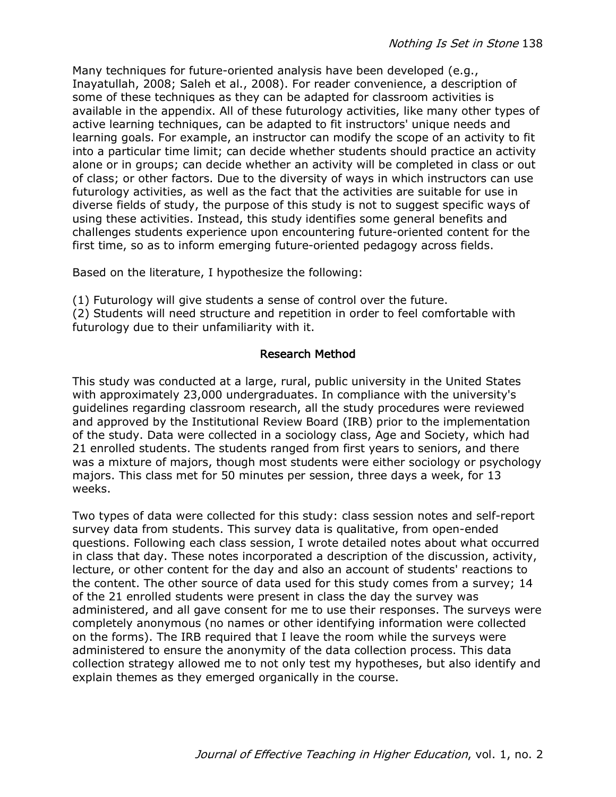Many techniques for future-oriented analysis have been developed (e.g., Inayatullah, 2008; Saleh et al., 2008). For reader convenience, a description of some of these techniques as they can be adapted for classroom activities is available in the appendix. All of these futurology activities, like many other types of active learning techniques, can be adapted to fit instructors' unique needs and learning goals. For example, an instructor can modify the scope of an activity to fit into a particular time limit; can decide whether students should practice an activity alone or in groups; can decide whether an activity will be completed in class or out of class; or other factors. Due to the diversity of ways in which instructors can use futurology activities, as well as the fact that the activities are suitable for use in diverse fields of study, the purpose of this study is not to suggest specific ways of using these activities. Instead, this study identifies some general benefits and challenges students experience upon encountering future-oriented content for the first time, so as to inform emerging future-oriented pedagogy across fields.

Based on the literature, I hypothesize the following:

(1) Futurology will give students a sense of control over the future.

(2) Students will need structure and repetition in order to feel comfortable with futurology due to their unfamiliarity with it.

### Research Method

This study was conducted at a large, rural, public university in the United States with approximately 23,000 undergraduates. In compliance with the university's guidelines regarding classroom research, all the study procedures were reviewed and approved by the Institutional Review Board (IRB) prior to the implementation of the study. Data were collected in a sociology class, Age and Society, which had 21 enrolled students. The students ranged from first years to seniors, and there was a mixture of majors, though most students were either sociology or psychology majors. This class met for 50 minutes per session, three days a week, for 13 weeks.

Two types of data were collected for this study: class session notes and self-report survey data from students. This survey data is qualitative, from open-ended questions. Following each class session, I wrote detailed notes about what occurred in class that day. These notes incorporated a description of the discussion, activity, lecture, or other content for the day and also an account of students' reactions to the content. The other source of data used for this study comes from a survey; 14 of the 21 enrolled students were present in class the day the survey was administered, and all gave consent for me to use their responses. The surveys were completely anonymous (no names or other identifying information were collected on the forms). The IRB required that I leave the room while the surveys were administered to ensure the anonymity of the data collection process. This data collection strategy allowed me to not only test my hypotheses, but also identify and explain themes as they emerged organically in the course.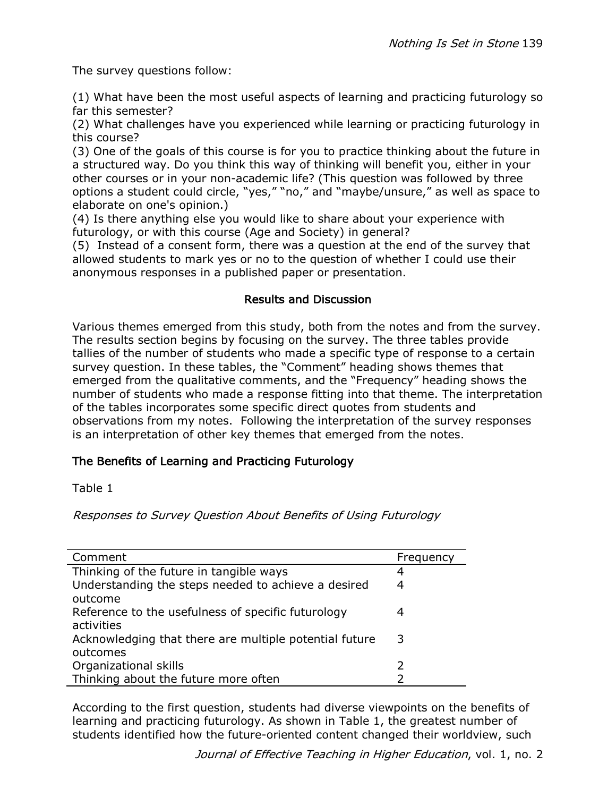The survey questions follow:

(1) What have been the most useful aspects of learning and practicing futurology so far this semester?

(2) What challenges have you experienced while learning or practicing futurology in this course?

(3) One of the goals of this course is for you to practice thinking about the future in a structured way. Do you think this way of thinking will benefit you, either in your other courses or in your non-academic life? (This question was followed by three options a student could circle, "yes," "no," and "maybe/unsure," as well as space to elaborate on one's opinion.)

(4) Is there anything else you would like to share about your experience with futurology, or with this course (Age and Society) in general?

(5) Instead of a consent form, there was a question at the end of the survey that allowed students to mark yes or no to the question of whether I could use their anonymous responses in a published paper or presentation.

### Results and Discussion

Various themes emerged from this study, both from the notes and from the survey. The results section begins by focusing on the survey. The three tables provide tallies of the number of students who made a specific type of response to a certain survey question. In these tables, the "Comment" heading shows themes that emerged from the qualitative comments, and the "Frequency" heading shows the number of students who made a response fitting into that theme. The interpretation of the tables incorporates some specific direct quotes from students and observations from my notes. Following the interpretation of the survey responses is an interpretation of other key themes that emerged from the notes.

# The Benefits of Learning and Practicing Futurology

Table 1

Responses to Survey Question About Benefits of Using Futurology

| Comment                                                | Frequency |
|--------------------------------------------------------|-----------|
| Thinking of the future in tangible ways                | 4         |
| Understanding the steps needed to achieve a desired    | 4         |
| outcome                                                |           |
| Reference to the usefulness of specific futurology     |           |
| activities                                             |           |
| Acknowledging that there are multiple potential future | 3         |
| outcomes                                               |           |
| Organizational skills                                  | フ         |
| Thinking about the future more often                   |           |

According to the first question, students had diverse viewpoints on the benefits of learning and practicing futurology. As shown in Table 1, the greatest number of students identified how the future-oriented content changed their worldview, such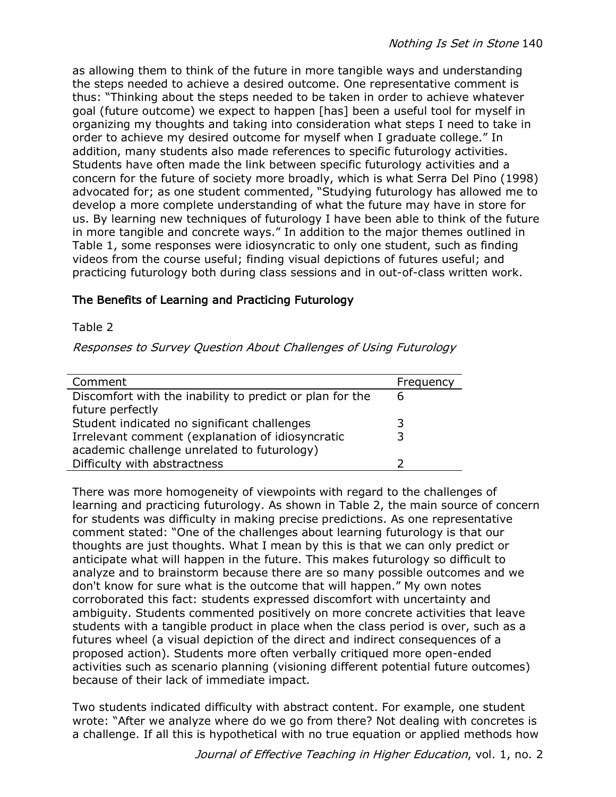as allowing them to think of the future in more tangible ways and understanding the steps needed to achieve a desired outcome. One representative comment is thus: "Thinking about the steps needed to be taken in order to achieve whatever goal (future outcome) we expect to happen [has] been a useful tool for myself in organizing my thoughts and taking into consideration what steps I need to take in order to achieve my desired outcome for myself when I graduate college." In addition, many students also made references to specific futurology activities. Students have often made the link between specific futurology activities and a concern for the future of society more broadly, which is what Serra Del Pino (1998) advocated for; as one student commented, "Studying futurology has allowed me to develop a more complete understanding of what the future may have in store for us. By learning new techniques of futurology I have been able to think of the future in more tangible and concrete ways." In addition to the major themes outlined in Table 1, some responses were idiosyncratic to only one student, such as finding videos from the course useful; finding visual depictions of futures useful; and practicing futurology both during class sessions and in out-of-class written work.

### The Benefits of Learning and Practicing Futurology

### Table 2

Responses to Survey Question About Challenges of Using Futurology

| Comment                                                  | Frequency |
|----------------------------------------------------------|-----------|
| Discomfort with the inability to predict or plan for the | 6         |
| future perfectly                                         |           |
| Student indicated no significant challenges              | 3         |
| Irrelevant comment (explanation of idiosyncratic         |           |
| academic challenge unrelated to futurology)              |           |
| Difficulty with abstractness                             |           |

There was more homogeneity of viewpoints with regard to the challenges of learning and practicing futurology. As shown in Table 2, the main source of concern for students was difficulty in making precise predictions. As one representative comment stated: "One of the challenges about learning futurology is that our thoughts are just thoughts. What I mean by this is that we can only predict or anticipate what will happen in the future. This makes futurology so difficult to analyze and to brainstorm because there are so many possible outcomes and we don't know for sure what is the outcome that will happen." My own notes corroborated this fact: students expressed discomfort with uncertainty and ambiguity. Students commented positively on more concrete activities that leave students with a tangible product in place when the class period is over, such as a futures wheel (a visual depiction of the direct and indirect consequences of a proposed action). Students more often verbally critiqued more open-ended activities such as scenario planning (visioning different potential future outcomes) because of their lack of immediate impact.

Two students indicated difficulty with abstract content. For example, one student wrote: "After we analyze where do we go from there? Not dealing with concretes is a challenge. If all this is hypothetical with no true equation or applied methods how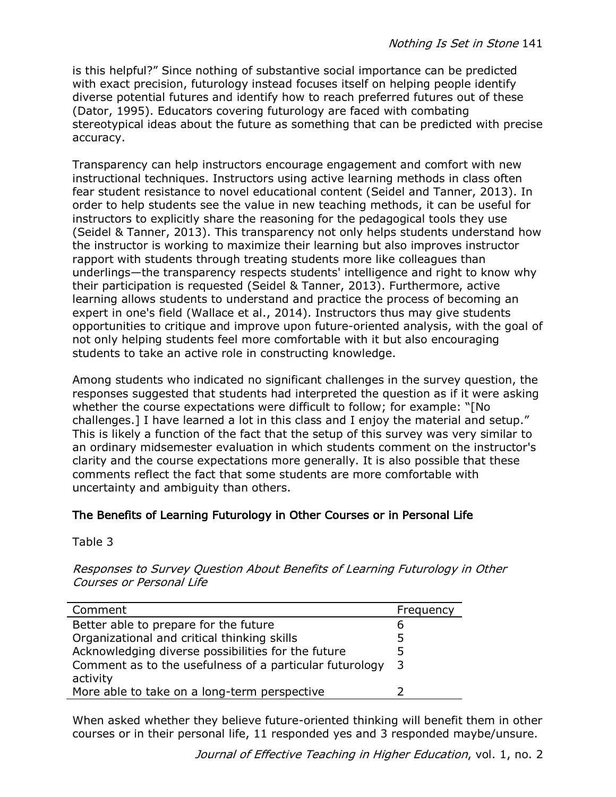is this helpful?" Since nothing of substantive social importance can be predicted with exact precision, futurology instead focuses itself on helping people identify diverse potential futures and identify how to reach preferred futures out of these (Dator, 1995). Educators covering futurology are faced with combating stereotypical ideas about the future as something that can be predicted with precise accuracy.

Transparency can help instructors encourage engagement and comfort with new instructional techniques. Instructors using active learning methods in class often fear student resistance to novel educational content (Seidel and Tanner, 2013). In order to help students see the value in new teaching methods, it can be useful for instructors to explicitly share the reasoning for the pedagogical tools they use (Seidel & Tanner, 2013). This transparency not only helps students understand how the instructor is working to maximize their learning but also improves instructor rapport with students through treating students more like colleagues than underlings—the transparency respects students' intelligence and right to know why their participation is requested (Seidel & Tanner, 2013). Furthermore, active learning allows students to understand and practice the process of becoming an expert in one's field (Wallace et al., 2014). Instructors thus may give students opportunities to critique and improve upon future-oriented analysis, with the goal of not only helping students feel more comfortable with it but also encouraging students to take an active role in constructing knowledge.

Among students who indicated no significant challenges in the survey question, the responses suggested that students had interpreted the question as if it were asking whether the course expectations were difficult to follow; for example: "[No challenges.] I have learned a lot in this class and I enjoy the material and setup." This is likely a function of the fact that the setup of this survey was very similar to an ordinary midsemester evaluation in which students comment on the instructor's clarity and the course expectations more generally. It is also possible that these comments reflect the fact that some students are more comfortable with uncertainty and ambiguity than others.

# The Benefits of Learning Futurology in Other Courses or in Personal Life

Table 3

Responses to Survey Question About Benefits of Learning Futurology in Other Courses or Personal Life

| Comment                                                 | Frequency |
|---------------------------------------------------------|-----------|
| Better able to prepare for the future                   | b         |
| Organizational and critical thinking skills             |           |
| Acknowledging diverse possibilities for the future      |           |
| Comment as to the usefulness of a particular futurology | -3        |
| activity                                                |           |
| More able to take on a long-term perspective            |           |

When asked whether they believe future-oriented thinking will benefit them in other courses or in their personal life, 11 responded yes and 3 responded maybe/unsure.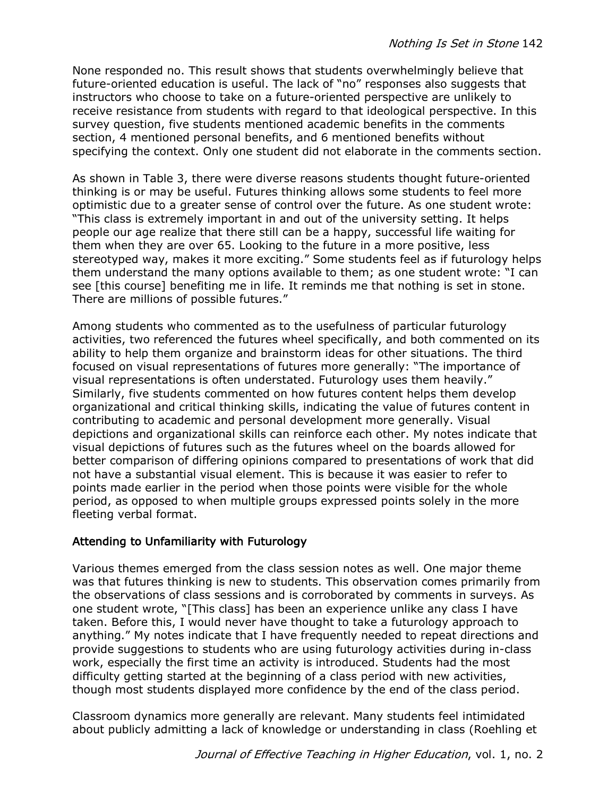None responded no. This result shows that students overwhelmingly believe that future-oriented education is useful. The lack of "no" responses also suggests that instructors who choose to take on a future-oriented perspective are unlikely to receive resistance from students with regard to that ideological perspective. In this survey question, five students mentioned academic benefits in the comments section, 4 mentioned personal benefits, and 6 mentioned benefits without specifying the context. Only one student did not elaborate in the comments section.

As shown in Table 3, there were diverse reasons students thought future-oriented thinking is or may be useful. Futures thinking allows some students to feel more optimistic due to a greater sense of control over the future. As one student wrote: "This class is extremely important in and out of the university setting. It helps people our age realize that there still can be a happy, successful life waiting for them when they are over 65. Looking to the future in a more positive, less stereotyped way, makes it more exciting." Some students feel as if futurology helps them understand the many options available to them; as one student wrote: "I can see [this course] benefiting me in life. It reminds me that nothing is set in stone. There are millions of possible futures."

Among students who commented as to the usefulness of particular futurology activities, two referenced the futures wheel specifically, and both commented on its ability to help them organize and brainstorm ideas for other situations. The third focused on visual representations of futures more generally: "The importance of visual representations is often understated. Futurology uses them heavily." Similarly, five students commented on how futures content helps them develop organizational and critical thinking skills, indicating the value of futures content in contributing to academic and personal development more generally. Visual depictions and organizational skills can reinforce each other. My notes indicate that visual depictions of futures such as the futures wheel on the boards allowed for better comparison of differing opinions compared to presentations of work that did not have a substantial visual element. This is because it was easier to refer to points made earlier in the period when those points were visible for the whole period, as opposed to when multiple groups expressed points solely in the more fleeting verbal format.

# Attending to Unfamiliarity with Futurology

Various themes emerged from the class session notes as well. One major theme was that futures thinking is new to students. This observation comes primarily from the observations of class sessions and is corroborated by comments in surveys. As one student wrote, "[This class] has been an experience unlike any class I have taken. Before this, I would never have thought to take a futurology approach to anything." My notes indicate that I have frequently needed to repeat directions and provide suggestions to students who are using futurology activities during in-class work, especially the first time an activity is introduced. Students had the most difficulty getting started at the beginning of a class period with new activities, though most students displayed more confidence by the end of the class period.

Classroom dynamics more generally are relevant. Many students feel intimidated about publicly admitting a lack of knowledge or understanding in class (Roehling et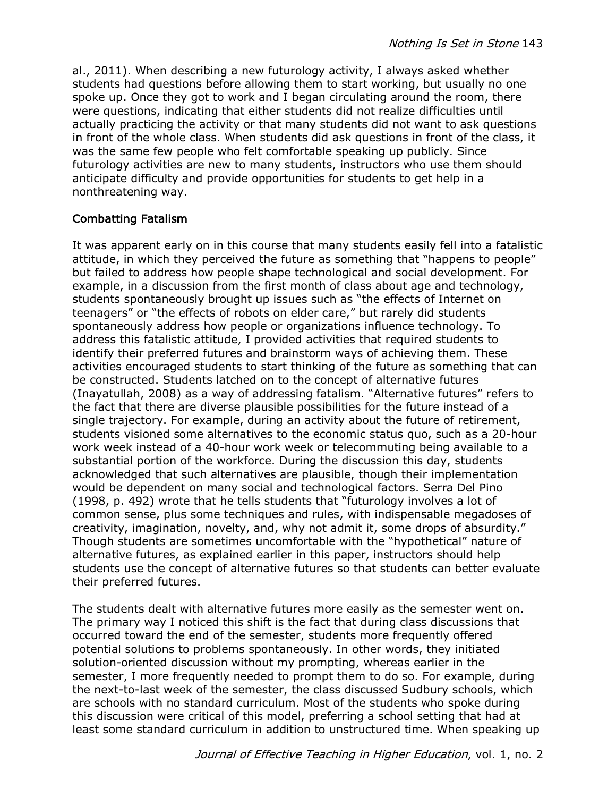al., 2011). When describing a new futurology activity, I always asked whether students had questions before allowing them to start working, but usually no one spoke up. Once they got to work and I began circulating around the room, there were questions, indicating that either students did not realize difficulties until actually practicing the activity or that many students did not want to ask questions in front of the whole class. When students did ask questions in front of the class, it was the same few people who felt comfortable speaking up publicly. Since futurology activities are new to many students, instructors who use them should anticipate difficulty and provide opportunities for students to get help in a nonthreatening way.

# Combatting Fatalism

It was apparent early on in this course that many students easily fell into a fatalistic attitude, in which they perceived the future as something that "happens to people" but failed to address how people shape technological and social development. For example, in a discussion from the first month of class about age and technology, students spontaneously brought up issues such as "the effects of Internet on teenagers" or "the effects of robots on elder care," but rarely did students spontaneously address how people or organizations influence technology. To address this fatalistic attitude, I provided activities that required students to identify their preferred futures and brainstorm ways of achieving them. These activities encouraged students to start thinking of the future as something that can be constructed. Students latched on to the concept of alternative futures (Inayatullah, 2008) as a way of addressing fatalism. "Alternative futures" refers to the fact that there are diverse plausible possibilities for the future instead of a single trajectory. For example, during an activity about the future of retirement, students visioned some alternatives to the economic status quo, such as a 20-hour work week instead of a 40-hour work week or telecommuting being available to a substantial portion of the workforce. During the discussion this day, students acknowledged that such alternatives are plausible, though their implementation would be dependent on many social and technological factors. Serra Del Pino (1998, p. 492) wrote that he tells students that "futurology involves a lot of common sense, plus some techniques and rules, with indispensable megadoses of creativity, imagination, novelty, and, why not admit it, some drops of absurdity." Though students are sometimes uncomfortable with the "hypothetical" nature of alternative futures, as explained earlier in this paper, instructors should help students use the concept of alternative futures so that students can better evaluate their preferred futures.

The students dealt with alternative futures more easily as the semester went on. The primary way I noticed this shift is the fact that during class discussions that occurred toward the end of the semester, students more frequently offered potential solutions to problems spontaneously. In other words, they initiated solution-oriented discussion without my prompting, whereas earlier in the semester, I more frequently needed to prompt them to do so. For example, during the next-to-last week of the semester, the class discussed Sudbury schools, which are schools with no standard curriculum. Most of the students who spoke during this discussion were critical of this model, preferring a school setting that had at least some standard curriculum in addition to unstructured time. When speaking up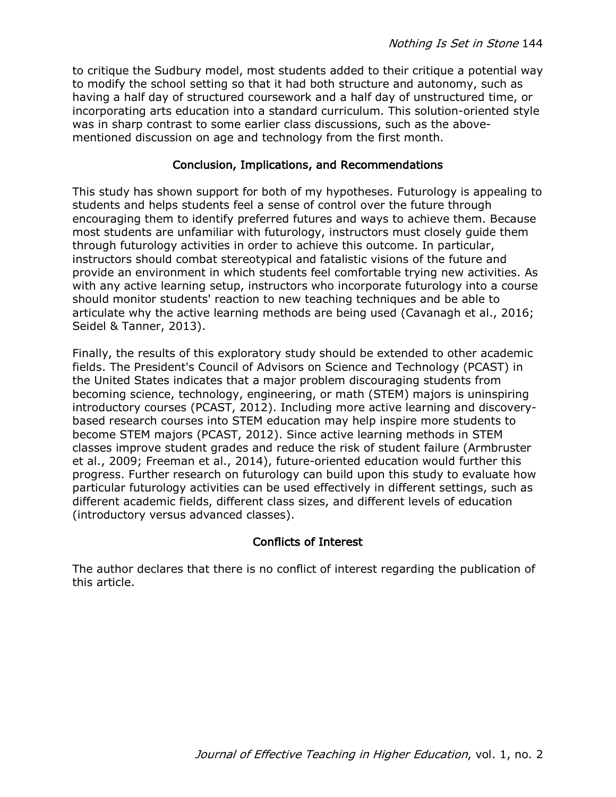to critique the Sudbury model, most students added to their critique a potential way to modify the school setting so that it had both structure and autonomy, such as having a half day of structured coursework and a half day of unstructured time, or incorporating arts education into a standard curriculum. This solution-oriented style was in sharp contrast to some earlier class discussions, such as the abovementioned discussion on age and technology from the first month.

### Conclusion, Implications, and Recommendations

This study has shown support for both of my hypotheses. Futurology is appealing to students and helps students feel a sense of control over the future through encouraging them to identify preferred futures and ways to achieve them. Because most students are unfamiliar with futurology, instructors must closely guide them through futurology activities in order to achieve this outcome. In particular, instructors should combat stereotypical and fatalistic visions of the future and provide an environment in which students feel comfortable trying new activities. As with any active learning setup, instructors who incorporate futurology into a course should monitor students' reaction to new teaching techniques and be able to articulate why the active learning methods are being used (Cavanagh et al., 2016; Seidel & Tanner, 2013).

Finally, the results of this exploratory study should be extended to other academic fields. The President's Council of Advisors on Science and Technology (PCAST) in the United States indicates that a major problem discouraging students from becoming science, technology, engineering, or math (STEM) majors is uninspiring introductory courses (PCAST, 2012). Including more active learning and discoverybased research courses into STEM education may help inspire more students to become STEM majors (PCAST, 2012). Since active learning methods in STEM classes improve student grades and reduce the risk of student failure (Armbruster et al., 2009; Freeman et al., 2014), future-oriented education would further this progress. Further research on futurology can build upon this study to evaluate how particular futurology activities can be used effectively in different settings, such as different academic fields, different class sizes, and different levels of education (introductory versus advanced classes).

### Conflicts of Interest

The author declares that there is no conflict of interest regarding the publication of this article.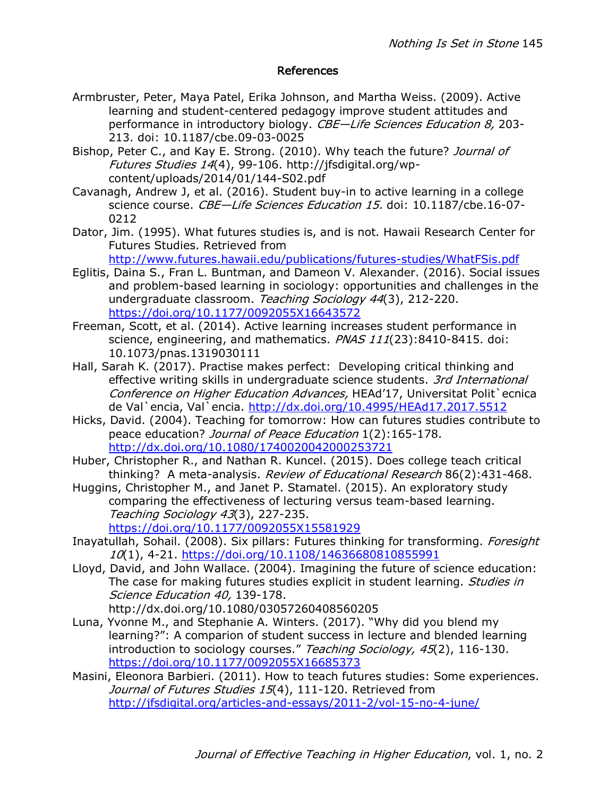### References

- Armbruster, Peter, Maya Patel, Erika Johnson, and Martha Weiss. (2009). Active learning and student-centered pedagogy improve student attitudes and performance in introductory biology. CBE-Life Sciences Education 8, 203-213. doi: 10.1187/cbe.09-03-0025
- Bishop, Peter C., and Kay E. Strong. (2010). Why teach the future? Journal of Futures Studies 14(4), 99-106. http://jfsdigital.org/wpcontent/uploads/2014/01/144-S02.pdf
- Cavanagh, Andrew J, et al. (2016). Student buy-in to active learning in a college science course. CBE-Life Sciences Education 15. doi: 10.1187/cbe.16-07-0212
- Dator, Jim. (1995). What futures studies is, and is not. Hawaii Research Center for Futures Studies. Retrieved from

http://www.futures.hawaii.edu/publications/futures-studies/WhatFSis.pdf

- Eglitis, Daina S., Fran L. Buntman, and Dameon V. Alexander. (2016). Social issues and problem-based learning in sociology: opportunities and challenges in the undergraduate classroom. Teaching Sociology 44(3), 212-220. https://doi.org/10.1177/0092055X16643572
- Freeman, Scott, et al. (2014). Active learning increases student performance in science, engineering, and mathematics. PNAS 111(23):8410-8415. doi: 10.1073/pnas.1319030111
- Hall, Sarah K. (2017). Practise makes perfect: Developing critical thinking and effective writing skills in undergraduate science students. 3rd International Conference on Higher Education Advances, HEAd'17, Universitat Polit`ecnica de Val`encia, Val`encia. http://dx.doi.org/10.4995/HEAd17.2017.5512
- Hicks, David. (2004). Teaching for tomorrow: How can futures studies contribute to peace education? Journal of Peace Education 1(2):165-178. http://dx.doi.org/10.1080/1740020042000253721
- Huber, Christopher R., and Nathan R. Kuncel. (2015). Does college teach critical thinking? A meta-analysis. Review of Educational Research 86(2):431-468.
- Huggins, Christopher M., and Janet P. Stamatel. (2015). An exploratory study comparing the effectiveness of lecturing versus team-based learning. Teaching Sociology 43(3), 227-235. https://doi.org/10.1177/0092055X15581929
- Inayatullah, Sohail. (2008). Six pillars: Futures thinking for transforming. Foresight 10(1), 4-21. https://doi.org/10.1108/14636680810855991
- Lloyd, David, and John Wallace. (2004). Imagining the future of science education: The case for making futures studies explicit in student learning. Studies in Science Education 40, 139-178. http://dx.doi.org/10.1080/03057260408560205
- Luna, Yvonne M., and Stephanie A. Winters. (2017). "Why did you blend my learning?": A comparion of student success in lecture and blended learning introduction to sociology courses." Teaching Sociology, 45(2), 116-130. https://doi.org/10.1177/0092055X16685373
- Masini, Eleonora Barbieri. (2011). How to teach futures studies: Some experiences. Journal of Futures Studies 15(4), 111-120. Retrieved from http://jfsdigital.org/articles-and-essays/2011-2/vol-15-no-4-june/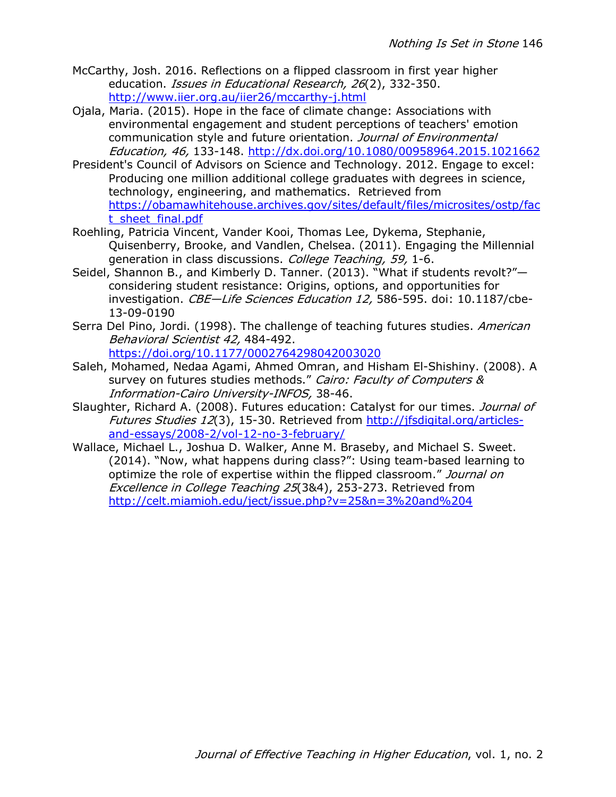- McCarthy, Josh. 2016. Reflections on a flipped classroom in first year higher education. *Issues in Educational Research, 26*(2), 332-350. http://www.iier.org.au/iier26/mccarthy-j.html
- Ojala, Maria. (2015). Hope in the face of climate change: Associations with environmental engagement and student perceptions of teachers' emotion communication style and future orientation. Journal of Environmental Education, 46, 133-148. http://dx.doi.org/10.1080/00958964.2015.1021662
- President's Council of Advisors on Science and Technology. 2012. Engage to excel: Producing one million additional college graduates with degrees in science, technology, engineering, and mathematics. Retrieved from https://obamawhitehouse.archives.gov/sites/default/files/microsites/ostp/fac t\_sheet\_final.pdf
- Roehling, Patricia Vincent, Vander Kooi, Thomas Lee, Dykema, Stephanie, Quisenberry, Brooke, and Vandlen, Chelsea. (2011). Engaging the Millennial generation in class discussions. College Teaching, 59, 1-6.
- Seidel, Shannon B., and Kimberly D. Tanner. (2013). "What if students revolt?" considering student resistance: Origins, options, and opportunities for investigation. CBE-Life Sciences Education 12, 586-595. doi: 10.1187/cbe-13-09-0190
- Serra Del Pino, Jordi. (1998). The challenge of teaching futures studies. American Behavioral Scientist 42, 484-492. https://doi.org/10.1177/0002764298042003020
- Saleh, Mohamed, Nedaa Agami, Ahmed Omran, and Hisham El-Shishiny. (2008). A survey on futures studies methods." Cairo: Faculty of Computers & Information-Cairo University-INFOS, 38-46.
- Slaughter, Richard A. (2008). Futures education: Catalyst for our times. Journal of Futures Studies 12(3), 15-30. Retrieved from http://jfsdigital.org/articlesand-essays/2008-2/vol-12-no-3-february/
- Wallace, Michael L., Joshua D. Walker, Anne M. Braseby, and Michael S. Sweet. (2014). "Now, what happens during class?": Using team-based learning to optimize the role of expertise within the flipped classroom." Journal on Excellence in College Teaching 25(3&4), 253-273. Retrieved from http://celt.miamioh.edu/ject/issue.php?v=25&n=3%20and%204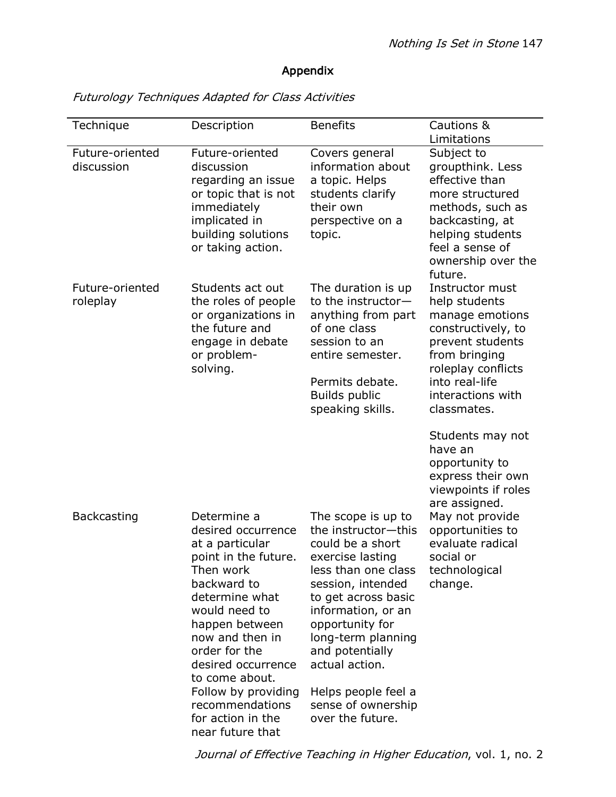# Appendix

| Technique                     | Description                                                                                                                                                                       | <b>Benefits</b>                                                                                                                                                                         | Cautions &                                                                                                                                                                                 |
|-------------------------------|-----------------------------------------------------------------------------------------------------------------------------------------------------------------------------------|-----------------------------------------------------------------------------------------------------------------------------------------------------------------------------------------|--------------------------------------------------------------------------------------------------------------------------------------------------------------------------------------------|
|                               |                                                                                                                                                                                   |                                                                                                                                                                                         | Limitations                                                                                                                                                                                |
| Future-oriented<br>discussion | Future-oriented<br>discussion<br>regarding an issue<br>or topic that is not<br>immediately<br>implicated in<br>building solutions<br>or taking action.                            | Covers general<br>information about<br>a topic. Helps<br>students clarify<br>their own<br>perspective on a<br>topic.                                                                    | Subject to<br>groupthink. Less<br>effective than<br>more structured<br>methods, such as<br>backcasting, at<br>helping students<br>feel a sense of<br>ownership over the<br>future.         |
| Future-oriented<br>roleplay   | Students act out<br>the roles of people<br>or organizations in<br>the future and<br>engage in debate<br>or problem-<br>solving.                                                   | The duration is up<br>to the instructor-<br>anything from part<br>of one class<br>session to an<br>entire semester.<br>Permits debate.<br><b>Builds public</b><br>speaking skills.      | Instructor must<br>help students<br>manage emotions<br>constructively, to<br>prevent students<br>from bringing<br>roleplay conflicts<br>into real-life<br>interactions with<br>classmates. |
| <b>Backcasting</b>            | Determine a<br>desired occurrence<br>at a particular                                                                                                                              | The scope is up to<br>the instructor-this<br>could be a short                                                                                                                           | Students may not<br>have an<br>opportunity to<br>express their own<br>viewpoints if roles<br>are assigned.<br>May not provide<br>opportunities to<br>evaluate radical                      |
|                               | point in the future.<br>Then work<br>backward to<br>determine what<br>would need to<br>happen between<br>now and then in<br>order for the<br>desired occurrence<br>to come about. | exercise lasting<br>less than one class<br>session, intended<br>to get across basic<br>information, or an<br>opportunity for<br>long-term planning<br>and potentially<br>actual action. | social or<br>technological<br>change.                                                                                                                                                      |
|                               | Follow by providing<br>recommendations<br>for action in the<br>near future that                                                                                                   | Helps people feel a<br>sense of ownership<br>over the future.                                                                                                                           |                                                                                                                                                                                            |

Futurology Techniques Adapted for Class Activities

Journal of Effective Teaching in Higher Education, vol. 1, no. 2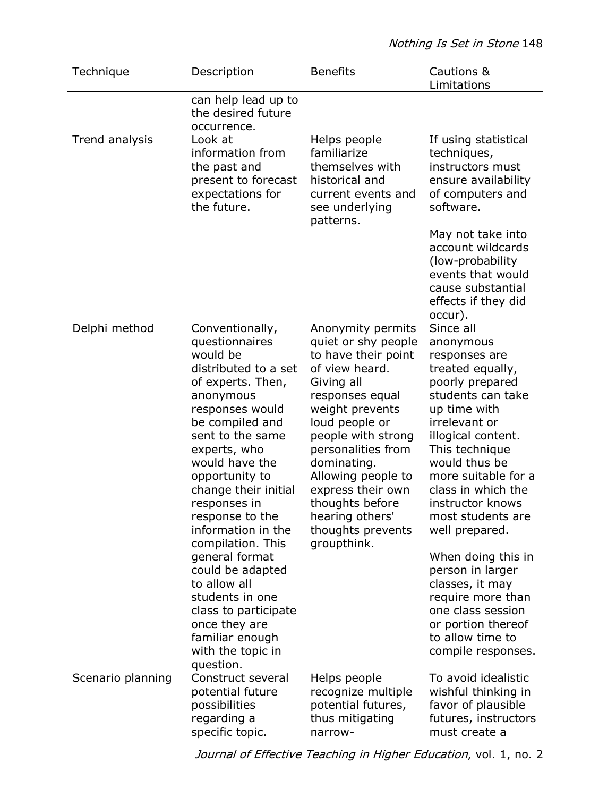| Description                                                                                                                                                                                                                                                                                                                                                                                          | <b>Benefits</b>                                                                                                                                                                                                                                                                                                                         | Cautions &<br>Limitations                                                                                                                                                                                                                                                                                                                                                                          |
|------------------------------------------------------------------------------------------------------------------------------------------------------------------------------------------------------------------------------------------------------------------------------------------------------------------------------------------------------------------------------------------------------|-----------------------------------------------------------------------------------------------------------------------------------------------------------------------------------------------------------------------------------------------------------------------------------------------------------------------------------------|----------------------------------------------------------------------------------------------------------------------------------------------------------------------------------------------------------------------------------------------------------------------------------------------------------------------------------------------------------------------------------------------------|
| can help lead up to<br>the desired future                                                                                                                                                                                                                                                                                                                                                            |                                                                                                                                                                                                                                                                                                                                         |                                                                                                                                                                                                                                                                                                                                                                                                    |
| Look at<br>information from<br>the past and<br>present to forecast<br>expectations for<br>the future.                                                                                                                                                                                                                                                                                                | Helps people<br>familiarize<br>themselves with<br>historical and<br>current events and<br>see underlying<br>patterns.                                                                                                                                                                                                                   | If using statistical<br>techniques,<br>instructors must<br>ensure availability<br>of computers and<br>software.<br>May not take into<br>account wildcards<br>(low-probability)<br>events that would<br>cause substantial<br>effects if they did                                                                                                                                                    |
| Conventionally,<br>questionnaires<br>would be<br>distributed to a set<br>of experts. Then,<br>anonymous<br>responses would<br>be compiled and<br>sent to the same<br>experts, who<br>would have the<br>opportunity to<br>change their initial<br>responses in<br>response to the<br>information in the<br>compilation. This<br>general format<br>could be adapted<br>to allow all<br>students in one | Anonymity permits<br>quiet or shy people<br>to have their point<br>of view heard.<br>Giving all<br>responses equal<br>weight prevents<br>loud people or<br>people with strong<br>personalities from<br>dominating.<br>Allowing people to<br>express their own<br>thoughts before<br>hearing others'<br>thoughts prevents<br>groupthink. | occur).<br>Since all<br>anonymous<br>responses are<br>treated equally,<br>poorly prepared<br>students can take<br>up time with<br>irrelevant or<br>illogical content.<br>This technique<br>would thus be<br>more suitable for a<br>class in which the<br>instructor knows<br>most students are<br>well prepared.<br>When doing this in<br>person in larger<br>classes, it may<br>require more than |
| class to participate<br>once they are<br>familiar enough<br>with the topic in<br>question.<br>Construct several<br>potential future<br>possibilities<br>regarding a                                                                                                                                                                                                                                  | Helps people<br>recognize multiple<br>potential futures,<br>thus mitigating                                                                                                                                                                                                                                                             | one class session<br>or portion thereof<br>to allow time to<br>compile responses.<br>To avoid idealistic<br>wishful thinking in<br>favor of plausible<br>futures, instructors<br>must create a                                                                                                                                                                                                     |
|                                                                                                                                                                                                                                                                                                                                                                                                      | occurrence.<br>specific topic.                                                                                                                                                                                                                                                                                                          | narrow-                                                                                                                                                                                                                                                                                                                                                                                            |

Journal of Effective Teaching in Higher Education, vol. 1, no. 2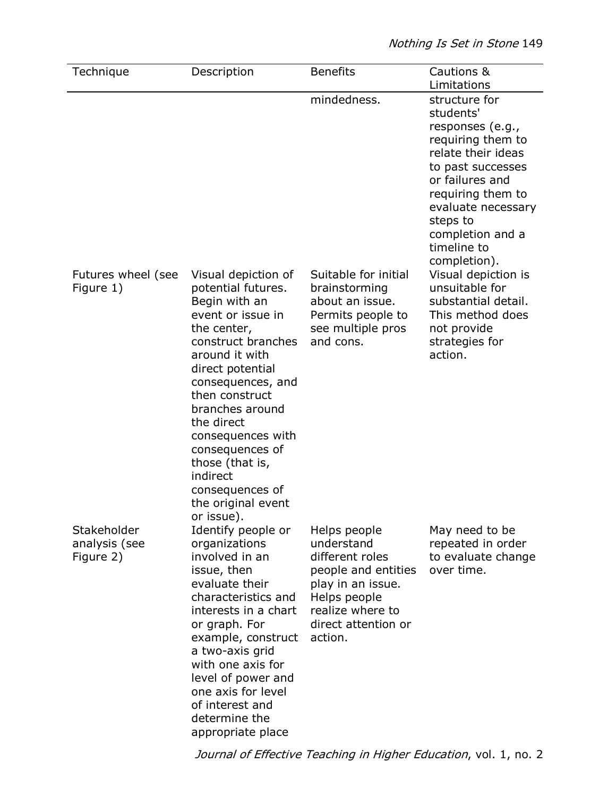| Technique                                 | Description                                                                                                                                                                                                                                                                                                                                                      | <b>Benefits</b>                                                                                                                                                 | Cautions &<br>Limitations                                                                                                                                                                                                                   |
|-------------------------------------------|------------------------------------------------------------------------------------------------------------------------------------------------------------------------------------------------------------------------------------------------------------------------------------------------------------------------------------------------------------------|-----------------------------------------------------------------------------------------------------------------------------------------------------------------|---------------------------------------------------------------------------------------------------------------------------------------------------------------------------------------------------------------------------------------------|
|                                           |                                                                                                                                                                                                                                                                                                                                                                  | mindedness.                                                                                                                                                     | structure for<br>students'<br>responses (e.g.,<br>requiring them to<br>relate their ideas<br>to past successes<br>or failures and<br>requiring them to<br>evaluate necessary<br>steps to<br>completion and a<br>timeline to<br>completion). |
| Futures wheel (see<br>Figure 1)           | Visual depiction of<br>potential futures.<br>Begin with an<br>event or issue in<br>the center,<br>construct branches<br>around it with<br>direct potential<br>consequences, and<br>then construct<br>branches around<br>the direct<br>consequences with<br>consequences of<br>those (that is,<br>indirect<br>consequences of<br>the original event<br>or issue). | Suitable for initial<br>brainstorming<br>about an issue.<br>Permits people to<br>see multiple pros<br>and cons.                                                 | Visual depiction is<br>unsuitable for<br>substantial detail.<br>This method does<br>not provide<br>strategies for<br>action.                                                                                                                |
| Stakeholder<br>analysis (see<br>Figure 2) | Identify people or<br>organizations<br>involved in an<br>issue, then<br>evaluate their<br>characteristics and<br>interests in a chart<br>or graph. For<br>example, construct<br>a two-axis grid<br>with one axis for<br>level of power and<br>one axis for level<br>of interest and<br>determine the<br>appropriate place                                        | Helps people<br>understand<br>different roles<br>people and entities<br>play in an issue.<br>Helps people<br>realize where to<br>direct attention or<br>action. | May need to be<br>repeated in order<br>to evaluate change<br>over time.                                                                                                                                                                     |

Journal of Effective Teaching in Higher Education, vol. 1, no. 2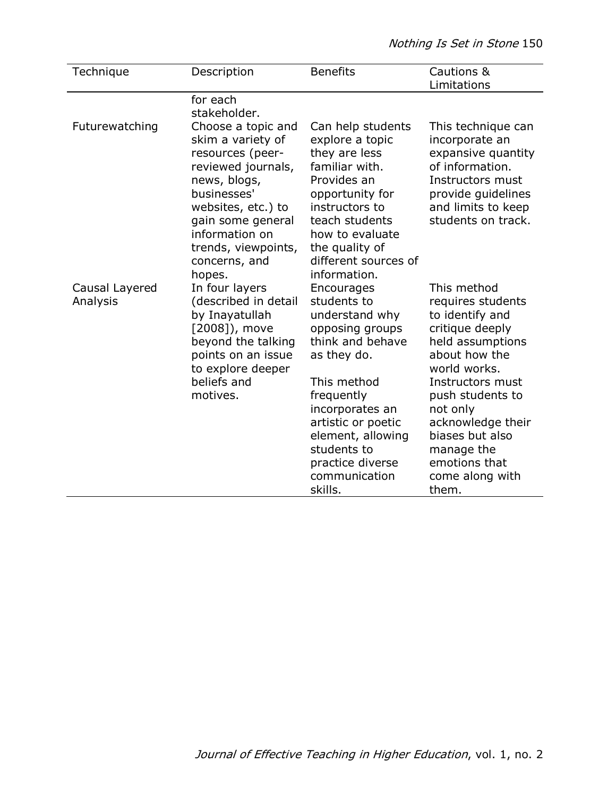| Technique                  | Description                                                                                                                                                                                                                     | <b>Benefits</b>                                                                                                                                                                                                                                             | Cautions &<br>Limitations                                                                                                                                                                                                                                                          |
|----------------------------|---------------------------------------------------------------------------------------------------------------------------------------------------------------------------------------------------------------------------------|-------------------------------------------------------------------------------------------------------------------------------------------------------------------------------------------------------------------------------------------------------------|------------------------------------------------------------------------------------------------------------------------------------------------------------------------------------------------------------------------------------------------------------------------------------|
|                            | for each<br>stakeholder.                                                                                                                                                                                                        |                                                                                                                                                                                                                                                             |                                                                                                                                                                                                                                                                                    |
| Futurewatching             | Choose a topic and<br>skim a variety of<br>resources (peer-<br>reviewed journals,<br>news, blogs,<br>businesses'<br>websites, etc.) to<br>gain some general<br>information on<br>trends, viewpoints,<br>concerns, and<br>hopes. | Can help students<br>explore a topic<br>they are less<br>familiar with.<br>Provides an<br>opportunity for<br>instructors to<br>teach students<br>how to evaluate<br>the quality of<br>different sources of<br>information.                                  | This technique can<br>incorporate an<br>expansive quantity<br>of information.<br>Instructors must<br>provide guidelines<br>and limits to keep<br>students on track.                                                                                                                |
| Causal Layered<br>Analysis | In four layers<br>(described in detail<br>by Inayatullah<br>[2008]), move<br>beyond the talking<br>points on an issue<br>to explore deeper<br>beliefs and<br>motives.                                                           | Encourages<br>students to<br>understand why<br>opposing groups<br>think and behave<br>as they do.<br>This method<br>frequently<br>incorporates an<br>artistic or poetic<br>element, allowing<br>students to<br>practice diverse<br>communication<br>skills. | This method<br>requires students<br>to identify and<br>critique deeply<br>held assumptions<br>about how the<br>world works.<br>Instructors must<br>push students to<br>not only<br>acknowledge their<br>biases but also<br>manage the<br>emotions that<br>come along with<br>them. |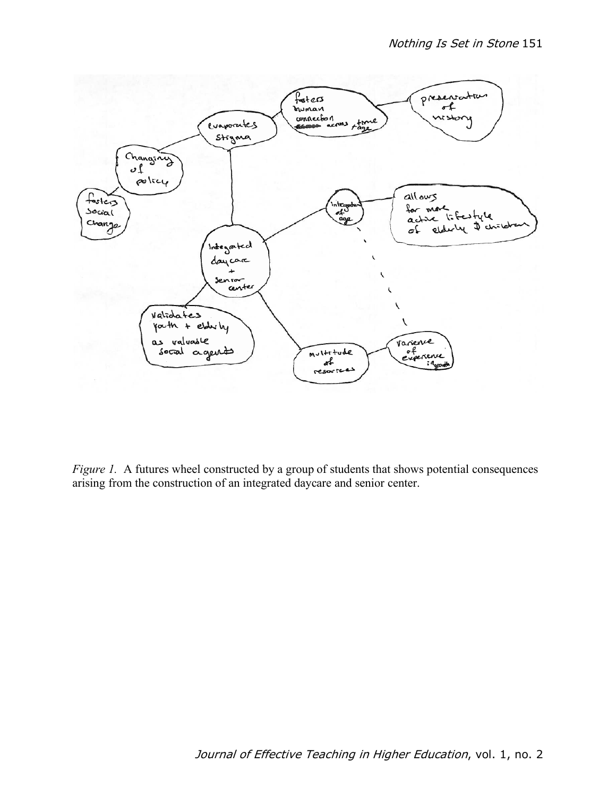

*Figure 1.* A futures wheel constructed by a group of students that shows potential consequences arising from the construction of an integrated daycare and senior center.